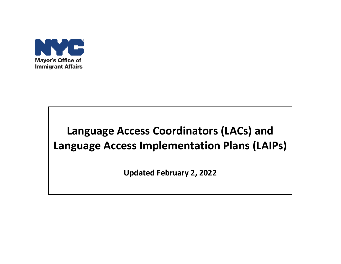

# **Language Access Coordinators (LACs) and Language Access Implementation Plans (LAIPs)**

**Updated February 2, 2022**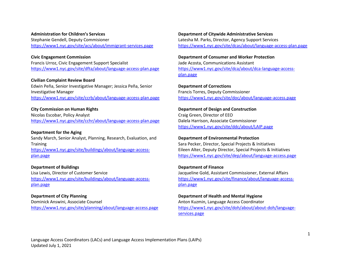#### **Administration for Children's Services**

Stephanie Gendell, Deputy Commisioner <https://www1.nyc.gov/site/acs/about/immigrant-services.page>

# **Civic Engagement Commission**

Francis Urroz, Civic Engagement Support Specialist <https://www1.nyc.gov/site/dfta/about/language-access-plan.page>

#### **Civilian Complaint Review Board**

Edwin Peña, Senior Investigative Manager; Jessica Peña, Senior Investigative Manager <https://www1.nyc.gov/site/ccrb/about/language-access-plan.page>

#### **City Commission on Human Rights**

Nicolas Escobar, Policy Analyst <https://www1.nyc.gov/site/cchr/about/language-access-plan.page>

#### **Department for the Aging**

Sandy March, Senior Analyst, Planning, Research, Evaluation, and **Training** [https://www1.nyc.gov/site/buildings/about/language-access](https://www1.nyc.gov/site/buildings/about/language-access-plan.page)[plan.page](https://www1.nyc.gov/site/buildings/about/language-access-plan.page)

#### **Department of Buildings**

Lisa Lewis, Director of Customer Service [https://www1.nyc.gov/site/buildings/about/language-access](https://www1.nyc.gov/site/buildings/about/language-access-plan.page)[plan.page](https://www1.nyc.gov/site/buildings/about/language-access-plan.page)

#### **Department of City Planning**

Dominick Answini, Associate Counsel <https://www1.nyc.gov/site/planning/about/language-access.page>

#### **Department of Citywide Administrative Services** Latesha M. Parks, Director, Agency Support Services

<https://www1.nyc.gov/site/dcas/about/language-access-plan.page>

#### **Department of Consumer and Worker Protection**

Jade Acosta, Communications Assistant [https://www1.nyc.gov/site/dca/about/dca-language-access](https://www1.nyc.gov/site/dca/about/dca-language-access-plan.page)[plan.page](https://www1.nyc.gov/site/dca/about/dca-language-access-plan.page)

## **Department of Corrections** Francis Torres, Deputy Commissioner <https://www1.nyc.gov/site/doc/about/language-access.page>

**Department of Design and Construction** Craig Green, Director of EEO Dalela Harrison, Associate Commissioner <https://www1.nyc.gov/site/ddc/about/LAIP.page>

#### **Department of Environmental Protection**

Sara Pecker, Director, Special Projects & Initiatives Eileen Alter, Deputy Director, Special Projects & Initiatives <https://www1.nyc.gov/site/dep/about/language-access.page>

#### **Department of Finance**

Jacqueline Gold, Assistant Commissioner, External Affairs [https://www1.nyc.gov/site/finance/about/language-access](https://www1.nyc.gov/site/finance/about/language-access-plan.page)[plan.page](https://www1.nyc.gov/site/finance/about/language-access-plan.page)

#### **Department of Health and Mental Hygiene**

Anton Kuzmin, Language Access Coordinator [https://www1.nyc.gov/site/doh/about/about-doh/language](https://www1.nyc.gov/site/doh/about/about-doh/language-services.page)[services.page](https://www1.nyc.gov/site/doh/about/about-doh/language-services.page)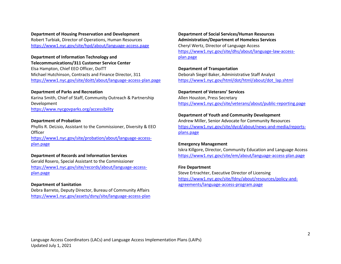**Department of Housing Preservation and Development** Robert Turbiak, Director of Operations, Human Resources <https://www1.nyc.gov/site/hpd/about/language-access.page>

**Department of Information Technology and Telecommunications/311 Customer Service Center**  Elsa Hampton, Chief EEO Officer, DoITT Michael Hutchinson, Contracts and Finance Director, 311 <https://www1.nyc.gov/site/doitt/about/language-access-plan.page>

#### **Department of Parks and Recreation**

Karina Smith, Chief of Staff, Community Outreach & Partnership Development <https://www.nycgovparks.org/accessibility>

#### **Department of Probation**

Phyllis R. DeLisio, Assistant to the Commissioner, Diversity & EEO **Officer** [https://www1.nyc.gov/site/probation/about/language-access-](https://www1.nyc.gov/site/probation/about/language-access-plan.page)

[plan.page](https://www1.nyc.gov/site/probation/about/language-access-plan.page)

# **Department of Records and Information Services**

Gerald Rosero, Special Assistant to the Commissioner [https://www1.nyc.gov/site/records/about/language-access](https://www1.nyc.gov/site/records/about/language-access-plan.page)[plan.page](https://www1.nyc.gov/site/records/about/language-access-plan.page)

#### **Department of Sanitation**

Debra Barreto, Deputy Director, Bureau of Community Affairs <https://www1.nyc.gov/assets/dsny/site/language-access-plan>

**Department of Social Services/Human Resources Administration/Department of Homeless Services** Cheryl Wertz, Director of Language Access [https://www1.nyc.gov/site/dhs/about/language-law-access](https://www1.nyc.gov/site/dhs/about/language-law-access-plan.page)[plan.page](https://www1.nyc.gov/site/dhs/about/language-law-access-plan.page)

#### **Department of Transportation**

Deborah Siegel Baker, Administrative Staff Analyst [https://www1.nyc.gov/html/dot/html/about/dot\\_lap.shtml](https://www1.nyc.gov/html/dot/html/about/dot_lap.shtml)

#### **Department of Veterans' Services**

Allen Houston, Press Secretary <https://www1.nyc.gov/site/veterans/about/public-reporting.page>

#### **Department of Youth and Community Development**

Andrew Miller, Senior Advocate for Community Resources [https://www1.nyc.gov/site/dycd/about/news-and-media/reports](https://www1.nyc.gov/site/dycd/about/news-and-media/reports-plans.page)[plans.page](https://www1.nyc.gov/site/dycd/about/news-and-media/reports-plans.page)

#### **Emergency Management**

Iskra Killgore, Director, Community Education and Language Access <https://www1.nyc.gov/site/em/about/language-access-plan.page>

#### **Fire Department**

Steve Ertrachter, Executive Director of Licensing [https://www1.nyc.gov/site/fdny/about/resources/policy-and](https://www1.nyc.gov/site/fdny/about/resources/policy-and-agreements/language-access-program.page)[agreements/language-access-program.page](https://www1.nyc.gov/site/fdny/about/resources/policy-and-agreements/language-access-program.page)